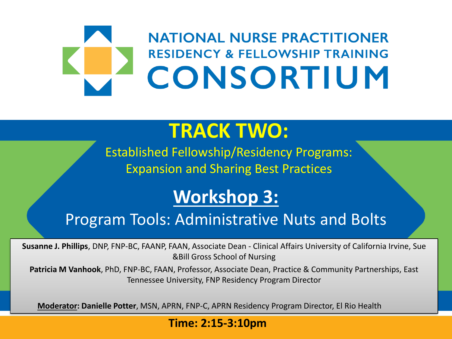# **NATIONAL NURSE PRACTITIONER RESIDENCY & FELLOWSHIP TRAINING** CONSORTIUM

## **TRACK TWO:**

Established Fellowship/Residency Programs: Expansion and Sharing Best Practices

### **Workshop 3:**

#### Program Tools: Administrative Nuts and Bolts

**Susanne J. Phillips**, DNP, FNP-BC, FAANP, FAAN, Associate Dean - Clinical Affairs University of California Irvine, Sue &Bill Gross School of Nursing

**Patricia M Vanhook**, PhD, FNP-BC, FAAN, Professor, Associate Dean, Practice & Community Partnerships, East Tennessee University, FNP Residency Program Director

**Moderator: Danielle Potter**, MSN, APRN, FNP-C, APRN Residency Program Director, El Rio Health

#### **Time: 2:15-3:10pm**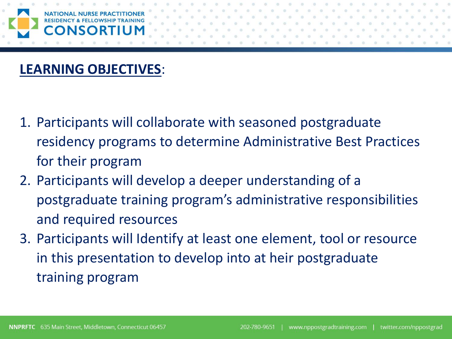#### **LEARNING OBJECTIVES**:

- 1. Participants will collaborate with seasoned postgraduate residency programs to determine Administrative Best Practices for their program
- 2. Participants will develop a deeper understanding of a postgraduate training program's administrative responsibilities and required resources
- 3. Participants will Identify at least one element, tool or resource in this presentation to develop into at heir postgraduate training program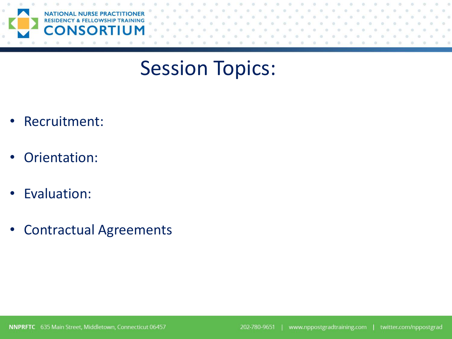

## Session Topics:

- Recruitment:
- Orientation:
- Evaluation:
- Contractual Agreements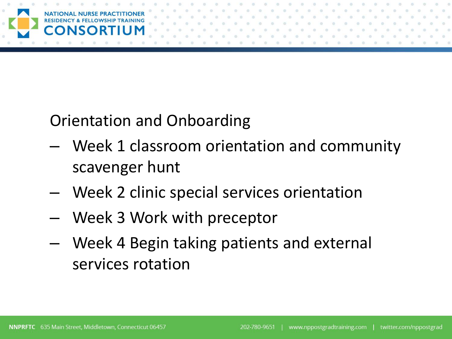

Orientation and Onboarding

- Week 1 classroom orientation and community scavenger hunt
- Week 2 clinic special services orientation
- Week 3 Work with preceptor
- Week 4 Begin taking patients and external services rotation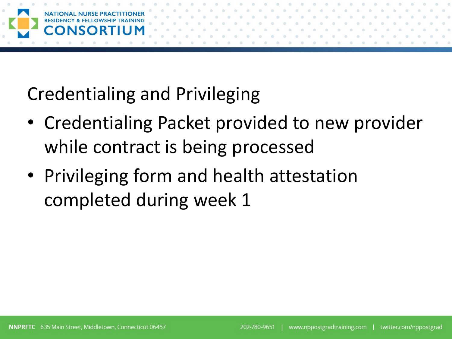

Credentialing and Privileging

- Credentialing Packet provided to new provider while contract is being processed
- Privileging form and health attestation completed during week 1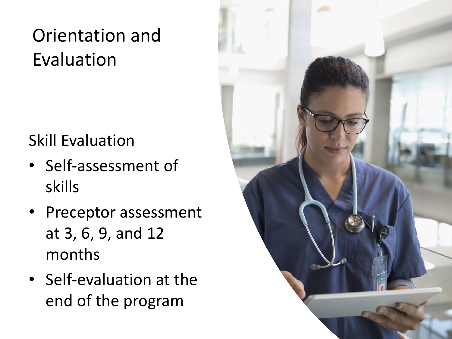# Orientation and Evaluation

## Skill Evaluation

- Self-assessment of skills
- Preceptor assessment at 3, 6, 9, and 12 months
- Self-evaluation at the end of the program

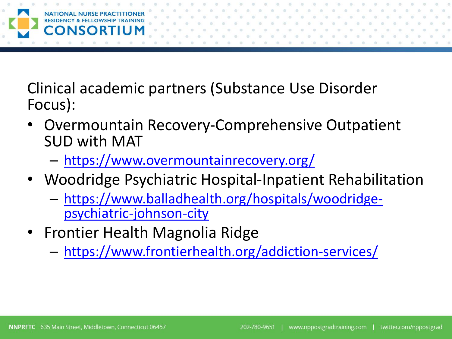

Clinical academic partners (Substance Use Disorder Focus):

- Overmountain Recovery-Comprehensive Outpatient SUD with MAT
	- <https://www.overmountainrecovery.org/>
- Woodridge Psychiatric Hospital-Inpatient Rehabilitation
	- [https://www.balladhealth.org/hospitals/woodridge](https://www.balladhealth.org/hospitals/woodridge-psychiatric-johnson-city)psychiatric-johnson-city
- Frontier Health Magnolia Ridge
	- <https://www.frontierhealth.org/addiction-services/>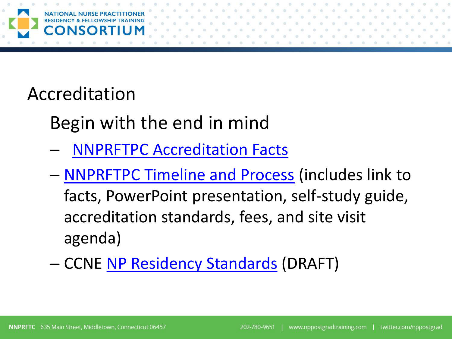

## Accreditation

Begin with the end in mind

- [NNPRFTPC Accreditation Facts](https://www.nppostgradtraining.com/wp-content/uploads/2019/12/Accreditation-Fact-Sheet.pdf)
- [NNPRFTPC Timeline and Process](https://www.nppostgradtraining.com/accreditation/timeline-and-process/) (includes link to facts, PowerPoint presentation, self-study guide, accreditation standards, fees, and site visit agenda)
- CCNE [NP Residency Standards](https://www.aacnnursing.org/Portals/42/CCNE/PDF/NP-Residency-Standards-Draft.pdf.) (DRAFT)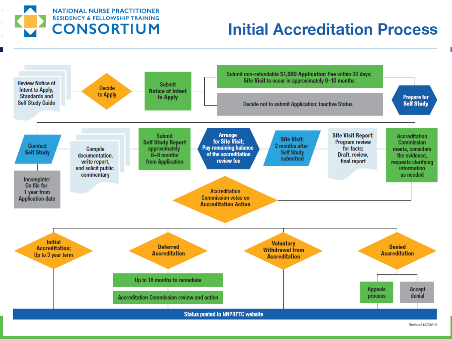#### **NATIONAL NURSE PRACTITIONER RESIDENCY & FELLOWSHIP TRAINING CONSORTIUM**

### **Initial Accreditation Process**

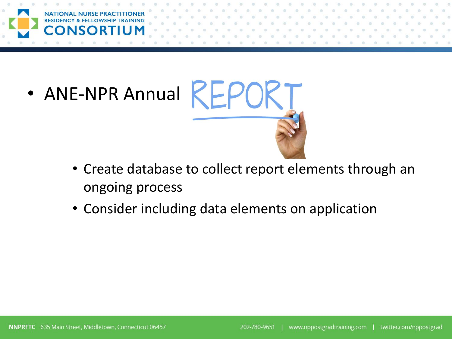

• ANE-NPR Annual KEPO



- Create database to collect report elements through an ongoing process
- Consider including data elements on application